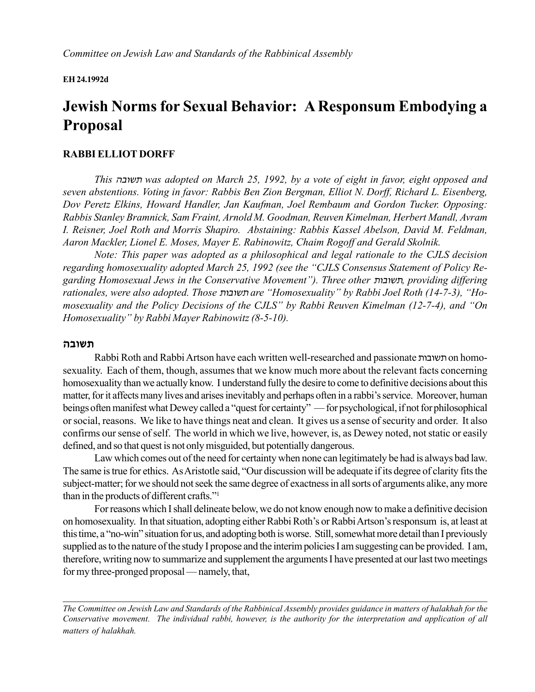#### **EH 24.1992d**

# **Jewish Norms for Sexual Behavior: A Responsum Embodying a Proposal**

#### **RABBI ELLIOT DORFF**

*This* vcua, *was adopted on March 25, 1992, by a vote of eight in favor, eight opposed and seven abstentions. Voting in favor: Rabbis Ben Zion Bergman, Elliot N. Dorff, Richard L. Eisenberg, Dov Peretz Elkins, Howard Handler, Jan Kaufman, Joel Rembaum and Gordon Tucker. Opposing: Rabbis Stanley Bramnick, Sam Fraint, Arnold M. Goodman, Reuven Kimelman, Herbert Mandl, Avram I. Reisner, Joel Roth and Morris Shapiro. Abstaining: Rabbis Kassel Abelson, David M. Feldman, Aaron Mackler, Lionel E. Moses, Mayer E. Rabinowitz, Chaim Rogoff and Gerald Skolnik.*

*Note: This paper was adopted as a philosophical and legal rationale to the CJLS decision* regarding homosexuality adopted March 25, 1992 (see the "CJLS Consensus Statement of Policy Regarding Homosexual Jews in the Conservative Movement"). Three other *ת*שובות, providing differing *rationales, were also adopted. Those השובות are "Homosexuality" by Rabbi Joel Roth (14-7-3), "Homosexuality and the Policy Decisions of the CJLS" by Rabbi Reuven Kimelman (12-7-4), and "On Homosexuality" by Rabbi Mayer Rabinowitz (8-5-10).* 

#### **vcua,**

Rabbi Roth and Rabbi Artson have each written well-researched and passionate תשובות on homosexuality. Each of them, though, assumes that we know much more about the relevant facts concerning homosexuality than we actually know. I understand fully the desire to come to definitive decisions about this matter, for it affects many lives and arises inevitably and perhaps often in a rabbi's service. Moreover, human beings often manifest what Dewey called a "quest for certainty" — for psychological, if not for philosophical or social, reasons. We like to have things neat and clean. It gives us a sense of security and order. It also confirms our sense of self. The world in which we live, however, is, as Dewey noted, not static or easily defined, and so that quest is not only misguided, but potentially dangerous.

Law which comes out of the need for certainty when none can legitimately be had is always bad law. The same is true for ethics. As Aristotle said, "Our discussion will be adequate if its degree of clarity fits the subject-matter; for we should not seek the same degree of exactness in all sorts of arguments alike, any more than in the products of different crafts."<sup>1</sup>

For reasons which I shall delineate below, we do not know enough now to make a definitive decision on homosexuality. In that situation, adopting either Rabbi Roth's or Rabbi Artson's responsum is, at least at this time, a "no-win" situation for us, and adopting both is worse. Still, somewhat more detail than I previously supplied as to the nature of the study I propose and the interim policies I am suggesting can be provided. I am, therefore, writing now to summarize and supplement the arguments I have presented at our last two meetings for my three-pronged proposal — namely, that,

*The Committee on Jewish Law and Standards of the Rabbinical Assembly provides guidance in matters of halakhah for the Conservative movement. The individual rabbi, however, is the authority for the interpretation and application of all matters of halakhah.*

 $\mathcal{L}_\mathcal{L} = \{ \mathcal{L}_\mathcal{L} = \{ \mathcal{L}_\mathcal{L} = \{ \mathcal{L}_\mathcal{L} = \{ \mathcal{L}_\mathcal{L} = \{ \mathcal{L}_\mathcal{L} = \{ \mathcal{L}_\mathcal{L} = \{ \mathcal{L}_\mathcal{L} = \{ \mathcal{L}_\mathcal{L} = \{ \mathcal{L}_\mathcal{L} = \{ \mathcal{L}_\mathcal{L} = \{ \mathcal{L}_\mathcal{L} = \{ \mathcal{L}_\mathcal{L} = \{ \mathcal{L}_\mathcal{L} = \{ \mathcal{L}_\mathcal{$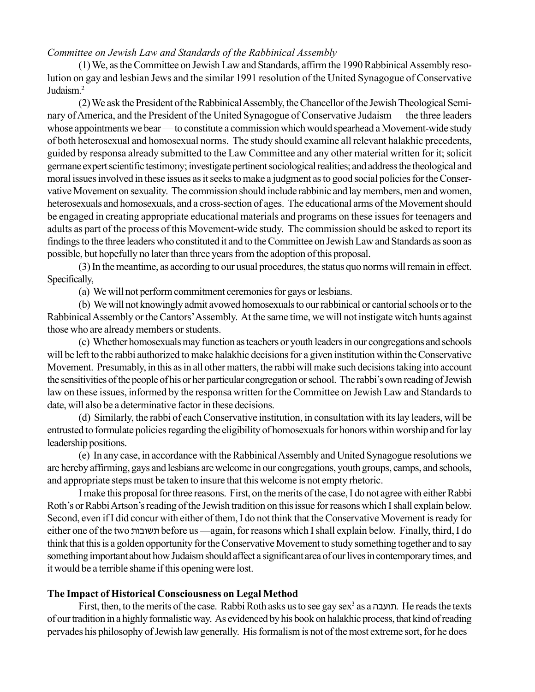(1) We, as the Committee on Jewish Law and Standards, affirm the 1990 Rabbinical Assembly resolution on gay and lesbian Jews and the similar 1991 resolution of the United Synagogue of Conservative Judaism<sup>2</sup>

(2) We ask the President of the Rabbinical Assembly, the Chancellor of the Jewish Theological Seminary of America, and the President of the United Synagogue of Conservative Judaism — the three leaders whose appointments we bear — to constitute a commission which would spearhead a Movement-wide study of both heterosexual and homosexual norms. The study should examine all relevant halakhic precedents, guided by responsa already submitted to the Law Committee and any other material written for it; solicit germane expert scientific testimony; investigate pertinent sociological realities; and address the theological and moral issues involved in these issues as it seeks to make a judgment as to good social policies for the Conservative Movement on sexuality. The commission should include rabbinic and lay members, men and women, heterosexuals and homosexuals, and a cross-section of ages. The educational arms of the Movement should be engaged in creating appropriate educational materials and programs on these issues for teenagers and adults as part of the process of this Movement-wide study. The commission should be asked to report its findings to the three leaders who constituted it and to the Committee on Jewish Law and Standards as soon as possible, but hopefully no later than three years from the adoption of this proposal.

(3) In the meantime, as according to our usual procedures, the status quo norms will remain in effect. Specifically,

(a) We will not perform commitment ceremonies for gays or lesbians.

(b) We will not knowingly admit avowed homosexuals to our rabbinical or cantorial schools or to the Rabbinical Assembly or the Cantors' Assembly. At the same time, we will not instigate witch hunts against those who are already members or students.

(c) Whether homosexuals may function as teachers or youth leaders in our congregations and schools will be left to the rabbi authorized to make halakhic decisions for a given institution within the Conservative Movement. Presumably, in this as in all other matters, the rabbi will make such decisions taking into account the sensitivities of the people of his or her particular congregation or school. The rabbi's own reading of Jewish law on these issues, informed by the responsa written for the Committee on Jewish Law and Standards to date, will also be a determinative factor in these decisions.

(d) Similarly, the rabbi of each Conservative institution, in consultation with its lay leaders, will be entrusted to formulate policies regarding the eligibility of homosexuals for honors within worship and for lay leadership positions.

(e) In any case, in accordance with the Rabbinical Assembly and United Synagogue resolutions we are hereby affirming, gays and lesbians are welcome in our congregations, youth groups, camps, and schools, and appropriate steps must be taken to insure that this welcome is not empty rhetoric.

I make this proposal for three reasons. First, on the merits of the case, I do not agree with either Rabbi Roth's or Rabbi Artson's reading of the Jewish tradition on this issue for reasons which I shall explain below. Second, even if I did concur with either of them, I do not think that the Conservative Movement is ready for either one of the two תשובות before us —again, for reasons which I shall explain below. Finally, third, I do think that this is a golden opportunity for the Conservative Movement to study something together and to say something important about how Judaism should affect a significantarea of our lives in contemporary times, and it would be a terrible shame if this openingwere lost.

# **The Impact of Historical Consciousness on Legal Method**

First, then, to the merits of the case. Rabbi Roth asks us to see gay sex<sup>3</sup> as a תועבה. He reads the texts of our tradition in a highly formalistic way. As evidenced byhis book on halakhic process, that kind of reading pervades his philosophy of Jewish lawgenerally. His formalism is not of the most extreme sort, for he does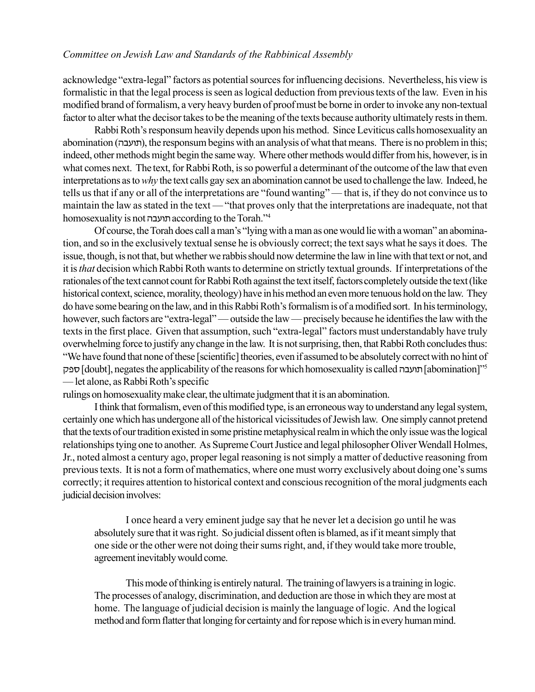acknowledge "extra-legal" factors as potential sources for influencing decisions. Nevertheless, his view is formalistic in that the legal process is seen as logical deduction from previoustexts of the law. Even in his modified brand of formalism, a very heavy burden of proofmust be borne in order to invoke any non-textual factor to alter what the decisor takes to be the meaning of the texts because authority ultimately rests in them.

Rabbi Roth's responsum heavily depends upon his method. Since Leviticus calls homosexuality an abomination (תועבה), the responsum begins with an analysis of what that means. There is no problem in this; indeed, other methods might begin the sameway. Where other methods would differ from his, however, is in what comes next. The text, for Rabbi Roth, is so powerful a determinant of the outcome of the law that even interpretations as to *why* the text calls gay sex an abomination cannot be used tochallenge the law. Indeed, he tells us that if any or all of the interpretations are "found wanting"—that is, if they do not convince us to maintain the law as stated in the text — "that proves only that the interpretations are inadequate, not that homosexuality is not תועבה according to the Torah."<sup>4</sup>

Of course, the Torah does call a man's "lying with a man as one would lie with a woman" an abomination, and so in the exclusively textual sense he is obviously correct; the text says what he says it does. The issue, though, is not that, but whether we rabbisshould now determine the law in line with that text or not, and it is *that* decision which Rabbi Roth wants to determine on strictly textual grounds. If interpretations of the rationales of the text cannot count for Rabbi Roth against the text itself, factorscompletely outside the text (like historical context, science, morality, theology) have inhis method an even more tenuous hold on the law. They do have some bearing on the law, and in this Rabbi Roth's formalism is of a modified sort. In his terminology, however, such factors are "extra-legal" — outside the law — precisely because he identifies the law with the texts in the first place. Given that assumption, such "extra-legal" factors must understandably have truly overwhelming force to justify anychange in the law. It is not surprising, then, that Rabbi Roth concludes thus: ìWe have found that none of these [scientific] theories, even if assumed to be absolutely correctwith no hint of תפק [doubt], negates the applicability of the reasons for which homosexuality is called תועבה [abomination]<sup>75</sup> — let alone, as Rabbi Roth's specific

rulings on homosexuality make clear, the ultimate judgment that it is an abomination.

I think that formalism, even of this modified type, is an erroneous way to understand any legal system, certainly one which has undergone all of the historical vicissitudes of Jewish law. One simply cannot pretend that the texts of our tradition existed in some pristine metaphysical realm in which the only issue was the logical relationships tying one to another. As Supreme Court Justice and legal philosopher Oliver Wendall Holmes, Jr., noted almost a century ago, proper legal reasoning is not simply a matter of deductive reasoning from previous texts. It is not a form of mathematics, where one must worry exclusively about doing one's sums correctly; it requires attention to historical context and conscious recognition of the moral judgments each judicial decision involves:

I once heard a very eminent judge say that he never let a decision go until he was absolutely sure that it was right. So judicial dissent often is blamed, as if it meant simply that one side or the other were not doing their sums right, and, if they would take more trouble, agreement inevitably would come.

This mode of thinking is entirely natural. The training of lawyers is a training in logic. The processes of analogy, discrimination, and deduction are those in which they are most at home. The language of judicial decision is mainly the language of logic. And the logical method and form flatter that longing for certainty and for repose which is in every human mind.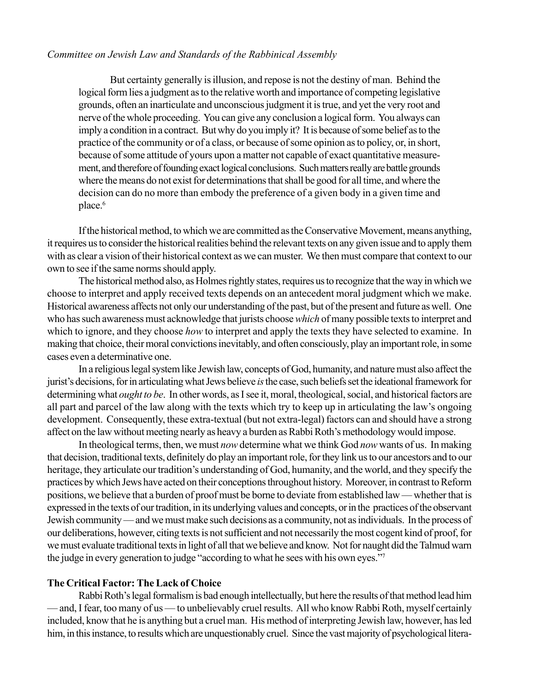But certainty generally is illusion, and repose is not the destiny of man. Behind the logical form lies a judgment as to the relative worth and importance of competing legislative grounds, often an inarticulate and unconscious judgment it is true, and yet the very root and nerve of the whole proceeding. You can give any conclusion a logical form. You always can imply a condition in a contract. But why do you imply it? It is because of some belief as to the practice of the community or of a class, or because of some opinion as to policy, or, in short, because of some attitude of yours upon a matter not capable of exact quantitative measurement, and therefore of founding exact logical conclusions. Such matters really are battle grounds where the means do not exist for determinations that shall be good for all time, and where the decision can do no more than embody the preference of a given body in a given time and place.<sup>6</sup>

If the historical method, to which we are committed as the Conservative Movement, means anything, it requires us to consider the historical realities behind the relevant texts on any given issue and to apply them with as clear a vision of their historical context as we can muster. We then must compare that context to our own to see if the same norms should apply.

The historical method also, as Holmes rightly states, requires us to recognize that the way in which we choose to interpret and apply received texts depends on an antecedent moral judgment which we make. Historical awareness affects not only our understanding of the past, but of the present and future as well. One who has such awareness must acknowledge that jurists choose *which* of many possible texts to interpret and which to ignore, and they choose *how* to interpret and apply the texts they have selected to examine. In making that choice, their moral convictions inevitably, and often consciously, play an important role, in some cases even a determinative one.

In a religious legal system like Jewish law, concepts of God, humanity, and nature must also affect the jurist's decisions, for in articulating what Jews believe *is* the case, such beliefs set the ideational framework for determining what *ought to be*. In other words, as I see it, moral, theological, social, and historical factors are all part and parcel of the law along with the texts which try to keep up in articulating the law's ongoing development. Consequently, these extra-textual (but not extra-legal) factors can and should have a strong affect on the law without meeting nearly as heavy a burden as Rabbi Roth's methodology would impose.

In theological terms, then, we must *now* determine what we think God *now* wants of us. In making that decision, traditional texts, definitely do play an important role, for they link us to our ancestors and to our heritage, they articulate our tradition's understanding of God, humanity, and the world, and they specify the practices by which Jews have acted on their conceptions throughout history. Moreover, in contrast to Reform positions, we believe that a burden of proof must be borne to deviate from established law — whether that is expressed in the texts of our tradition, in its underlying values and concepts, or in the practices of the observant Jewish community — and we must make such decisions as a community, not as individuals. In the process of our deliberations, however, citing texts is not sufficient and not necessarily the most cogent kind of proof, for we must evaluate traditional texts in light of all that we believe and know. Not for naught did the Talmud warn the judge in every generation to judge "according to what he sees with his own eyes." $7$ 

# **The Critical Factor: The Lack of Choice**

Rabbi Roth's legal formalism is bad enough intellectually, but here the results of that method lead him — and, I fear, too many of us — to unbelievably cruel results. All who know Rabbi Roth, myself certainly included, know that he is anything but a cruel man. His method of interpreting Jewish law, however, has led him, in this instance, to results which are unquestionably cruel. Since the vast majority of psychological litera-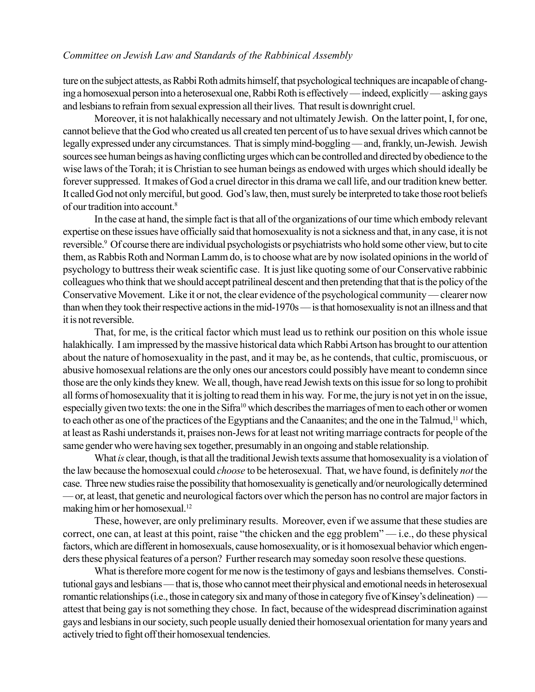ture on the subject attests, as Rabbi Roth admits himself, that psychological techniques are incapable of changing a homosexual person into a heterosexual one, Rabbi Roth is effectively — indeed, explicitly — asking gays and lesbians to refrain from sexual expression all their lives. That result is downright cruel.

Moreover, it is not halakhically necessary and not ultimately Jewish. On the latter point, I, for one, cannot believe that the God who created us all created ten percent of us to have sexual drives which cannot be legally expressed under any circumstances. That is simply mind-boggling — and, frankly, un-Jewish. Jewish sources see human beings as having conflicting urges which can be controlled and directed by obedience to the wise laws of the Torah; it is Christian to see human beings as endowed with urges which should ideally be forever suppressed. It makes of God a cruel director in this drama we call life, and our tradition knew better. It called God not only merciful, but good. God's law, then, must surely be interpreted to take those root beliefs of our tradition into account.8

In the case at hand, the simple fact is that all of the organizations of our time which embody relevant expertise on these issues have officially said that homosexuality is not a sickness and that, in any case, it is not reversible.<sup>9</sup> Of course there are individual psychologists or psychiatrists who hold some other view, but to cite them, as Rabbis Roth and Norman Lamm do, is to choose what are by now isolated opinions in the world of psychology to buttress their weak scientific case. It is just like quoting some of our Conservative rabbinic colleagues who think that we should accept patrilineal descent and then pretending that that is the policy of the Conservative Movement. Like it or not, the clear evidence of the psychological community — clearer now than when they took their respective actions in the mid-1970s  $-$  is that homosexuality is not an illness and that it is not reversible.

That, for me, is the critical factor which must lead us to rethink our position on this whole issue halakhically. I am impressed by the massive historical data which Rabbi Artson has brought to our attention about the nature of homosexuality in the past, and it may be, as he contends, that cultic, promiscuous, or abusive homosexual relations are the only ones our ancestors could possibly have meant to condemn since those are the only kinds they knew. We all, though, have read Jewish texts on this issue for so long to prohibit all forms of homosexuality that it is jolting to read them in his way. For me, the jury is not yet in on the issue, especially given two texts: the one in the Sifra<sup>10</sup> which describes the marriages of men to each other or women to each other as one of the practices of the Egyptians and the Canaanites; and the one in the Talmud,11 which, at least as Rashi understands it, praises non-Jews for at least not writing marriage contracts for people of the same gender who were having sex together, presumably in an ongoing and stable relationship.

What *is* clear, though, is that all the traditional Jewish texts assume that homosexuality is a violation of the law because the homosexual could *choose* to be heterosexual. That, we have found, is definitely *not* the case. Three new studies raise the possibility that homosexuality is genetically and/or neurologically determined ó or, at least, that genetic and neurological factors over which the person has no control are major factors in making him or her homosexual.12

These, however, are only preliminary results. Moreover, even if we assume that these studies are correct, one can, at least at this point, raise "the chicken and the egg problem" $-$ i.e., do these physical factors, which are different in homosexuals, cause homosexuality, or is it homosexual behavior which engenders these physical features of a person? Further research may someday soon resolve these questions.

What is therefore more cogent for me now is the testimony of gays and lesbians themselves. Constitutional gays and lesbians — that is, those who cannot meet their physical and emotional needs in heterosexual romantic relationships (i.e., those in category six and many of those in category five of Kinsey's delineation) attest that being gay is not something they chose. In fact, because of the widespread discrimination against gays and lesbians in our society, such people usually denied their homosexual orientation for many years and actively tried to fight off their homosexual tendencies.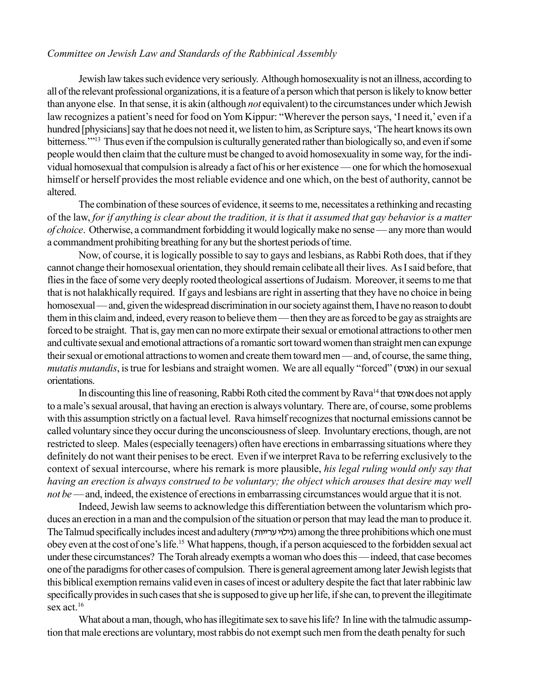Jewish law takes such evidence very seriously. Although homosexuality is not an illness, according to all of the relevant professional organizations, it is a feature of a person which that person is likely to know better than anyone else. In that sense, it is akin (although *not* equivalent) to the circumstances under which Jewish law recognizes a patient's need for food on Yom Kippur: "Wherever the person says, 'I need it,' even if a hundred [physicians] say that he does not need it, we listen to him, as Scripture says, 'The heart knows its own bitterness."<sup>13</sup> Thus even if the compulsion is culturally generated rather than biologically so, and even if some people would then claim that the culture must be changed to avoid homosexuality in some way, for the individual homosexual that compulsion is already a fact of his or her existence — one for which the homosexual himself or herself provides the most reliable evidence and one which, on the best of authority, cannot be altered.

The combination of these sources of evidence, it seems to me, necessitates a rethinking and recasting of the law, *for if anything is clear about the tradition, it is that it assumed that gay behavior is a matter of choice*. Otherwise, a commandment forbidding it would logically make no sense — any more than would a commandment prohibiting breathing for any but the shortest periods of time.

Now, of course, it is logically possible to say to gays and lesbians, as Rabbi Roth does, that if they cannot change their homosexual orientation, they should remain celibate all their lives. As I said before, that flies in the face of some very deeply rooted theological assertions of Judaism. Moreover, it seems to me that that is not halakhically required. If gays and lesbians are right in asserting that they have no choice in being homosexual — and, given the widespread discrimination in our society against them, I have no reason to doubt them in this claim and, indeed, every reason to believe them — then they are as forced to be gay as straights are forced to be straight. That is, gay mencan no more extirpate their sexual or emotional attractions to other men and cultivate sexual and emotional attractions of a romantic sort toward women than straight men can expunge their sexual or emotional attractions to women and create them toward men—and, of course, the same thing, *mutatis mutandis*, is true for lesbians and straight women. We are all equally "forced" (אמוס) in our sexual orientations.

In discounting this line of reasoning, Rabbi Roth cited the comment by Rava<sup>14</sup> that  $\sigma$ אונס does not apply to a male's sexual arousal, that having an erection is always voluntary. There are, of course, some problems with this assumption strictly on a factual level. Rava himself recognizes that nocturnal emissions cannot be called voluntary since they occur during the unconsciousness of sleep. Involuntary erections, though, are not restricted to sleep. Males (especially teenagers) often have erections in embarrassing situations where they definitely do not want their penises to be erect. Even if we interpret Rava to be referring exclusively to the context of sexual intercourse, where his remark is more plausible, *his legal ruling would only say that having an erection is always construed to be voluntary; the object which arouses that desire may well not be* — and, indeed, the existence of erections in embarrassing circumstances would argue that it is not.

Indeed, Jewish law seems to acknowledge this differentiation between the voluntarism which produces an erection in a man and the compulsion of the situation or person that may lead the man to produce it. The Talmud specifically includes incest and adultery (גילוי ערייות) among the three prohibitions which one must obey even at the cost of one's life.<sup>15</sup> What happens, though, if a person acquiesced to the forbidden sexual act under these circumstances? The Torah already exempts a woman who does this — indeed, that case becomes one of the paradigms for other cases of compulsion. There isgeneral agreement among later Jewish legists that this biblical exemption remains valid even in cases of incest or adultery despite the fact that later rabbinic law specifically provides in such cases that she is supposed to give up her life, if she can, to prevent the illegitimate sex act 16

What about a man, though, who has illegitimate sex to save his life? In line with the talmudic assumption that male erections are voluntary, most rabbis do not exempt such men from the death penalty for such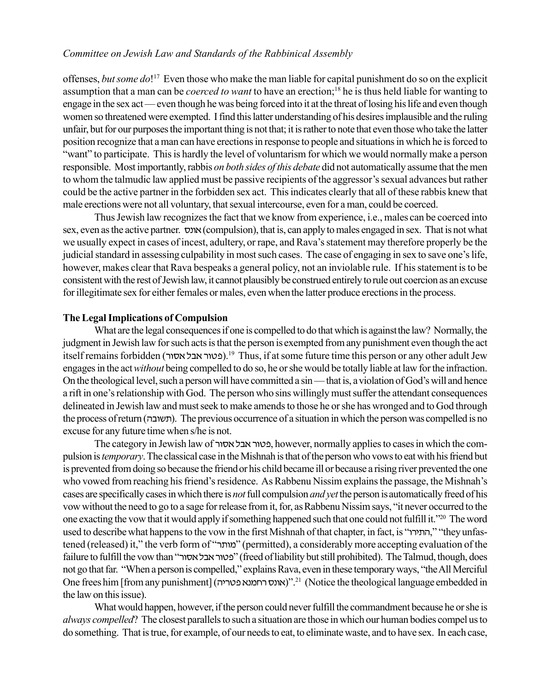offenses, *but some do*! 17 Even those who make the man liable for capital punishment do so on the explicit assumption that a man can be *coerced to want* to have an erection;18 he is thus held liable for wanting to engage in the sex act — even though he was being forced into it at the threat of losing his life and even though women so threatened were exempted. I find this latter understanding of his desires implausible and the ruling unfair, but for our purposes the important thing is not that; it is rather to note that even those who take the latter position recognize that a man can have erections in response to people and situations in which he is forced to "want" to participate. This is hardly the level of voluntarism for which we would normally make a person responsible. Most importantly, rabbis *on both sides of this debate* did not automatically assume that the men to whom the talmudic law applied must be passive recipients of the aggressor's sexual advances but rather could be the active partner in the forbidden sex act. This indicates clearly that all of these rabbis knew that male erections were not all voluntary, that sexual intercourse, even for a man, could be coerced.

Thus Jewish law recognizes the fact that we know from experience, i.e., males can be coerced into sex, even as the active partner.  $x \in \text{comulsion}$ ), that is, can apply to males engaged in sex. That is not what we usually expect in cases of incest, adultery, or rape, and Rava's statement may therefore properly be the judicial standard in assessing culpability in most such cases. The case of engaging in sex to save one's life, however, makes clear that Rava bespeaks a general policy, not an inviolable rule. If his statement is to be consistent with the rest of Jewish law, it cannot plausibly be construed entirely torule out coercion as an excuse for illegitimate sex for either females or males, even whenthe latter produce erections in the process.

## **The Legal Implications of Compulsion**

What are the legal consequences if one is compelled to do that which is against the law? Normally, the judgment in Jewish law for such acts is that the person is exempted from any punishment even though the act itself remains forbidden (פטור אבל אסור).<sup>19</sup> Thus, if at some future time this person or any other adult Jew engages in the act*without* being compelled to do so, he or she would be totally liable at law for the infraction. On the theological level, such a person will have committed a  $\sin$ —that is, a violation of God's will and hence a rift in one's relationship with God. The person who sins willingly must suffer the attendant consequences delineated in Jewish law and mustseek to make amends to those he or she has wronged and to God through the process of return (תשובה). The previous occurrence of a situation in which the person was compelled is no excuse for any future time when s/he is not.

The category in Jewish law of פטור אבל אסור, however, normally applies to cases in which the compulsion is *temporary*. The classical case in the Mishnah is that of the person who vows to eat with his friend but is prevented from doing so because the friendor his child became ill or because a rising river prevented the one who vowed from reaching his friend's residence. As Rabbenu Nissim explains the passage, the Mishnah's cases are specifically cases in which there is *not* full compulsion *and yet* the person isautomatically freed of his vow without the need to go to a sage for release from it, for, as Rabbenu Nissim says, "it never occurred to the one exacting the vow that it would apply if something happened such that one could not fulfill it.<sup>720</sup> The word used to describe what happens to the vow in the first Mishnah of that chapter, in fact, is "התירוה," "they unfastened (released) it," the verb form of "מותר" (permitted), a considerably more accepting evaluation of the failure to fulfill the vow than "נפטור אבל אסור" (freed of liability but still prohibited). The Talmud, though, does not go that far. "When a person is compelled," explains Rava, even in these temporary ways, "the All Merciful" One frees him [from any punishment] (אונס רחמנא פטריה)<sup>21</sup> (Notice the theological language embedded in the law on this issue).

What would happen, however, if the person could never fulfill the commandment because he or she is *always compelled*? The closest parallels to such a situation are those in which our human bodies compel us to do something. That is true, for example, of our needs to eat, to eliminate waste, and to have sex. In each case,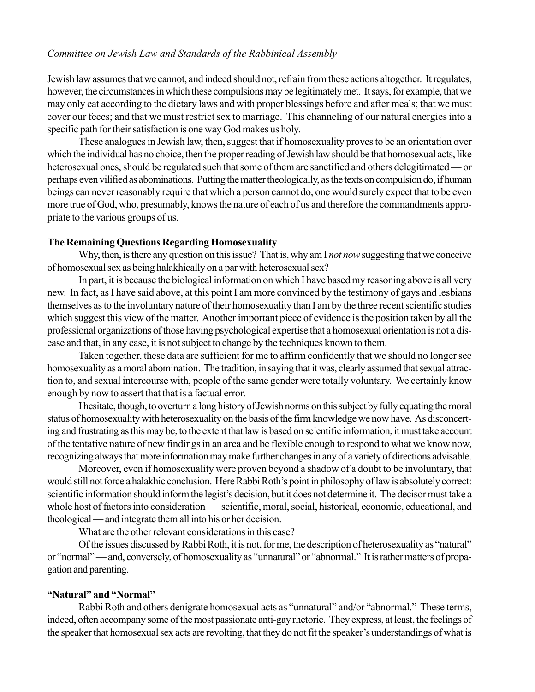Jewish law assumes that we cannot, and indeed should not, refrain from these actions altogether. It regulates, however, the circumstances in which these compulsions may be legitimately met. It says, for example, that we may only eat according to the dietary laws and with proper blessings before and after meals; that we must cover our feces; and that we must restrict sex to marriage. This channeling of our natural energies into a specific path for their satisfaction is one way God makes us holy.

These analogues in Jewish law, then, suggest that if homosexuality proves to be an orientation over which the individual has no choice, then the proper reading of Jewish law should be that homosexual acts, like heterosexual ones, should be regulated such that some of them are sanctified and others delegitimated — or perhaps even vilified as abominations. Putting the matter theologically, as the texts on compulsion do, if human beings can never reasonably require that which a person cannot do, one would surely expect that to be even more true of God, who, presumably, knows the nature of each of us and therefore the commandments appropriate to the various groups of us.

## **The Remaining Questions Regarding Homosexuality**

Why, then, is there any question on this issue? That is, why am I *not now* suggesting that we conceive of homosexual sex as being halakhically on a par with heterosexual sex?

In part, it is because the biological information on which I have based my reasoning above is all very new. In fact, as I have said above, at this point I am more convinced by the testimony of gays and lesbians themselves as to the involuntary nature of their homosexuality than I am by the three recent scientific studies which suggest this view of the matter. Another important piece of evidence is the position taken by all the professional organizations of those having psychological expertise that a homosexual orientation is not a disease and that, in any case, it is not subject to change by the techniques known to them.

Taken together, these data are sufficient for me to affirm confidently that we should no longer see homosexuality as a moral abomination. The tradition, in saying that it was, clearly assumed that sexual attraction to, and sexual intercourse with, people of the same gender were totally voluntary. We certainly know enough by now to assert that that is a factual error.

I hesitate, though, to overturn a long history of Jewish norms on this subject by fully equating the moral status of homosexuality with heterosexuality on the basis of the firm knowledge we now have. As disconcerting and frustrating as this may be, to the extent that law is based on scientific information, it must take account of the tentative nature of new findings in an area and be flexible enough to respond to what we know now, recognizing always that more information may make further changes in any of a variety of directions advisable.

Moreover, even if homosexuality were proven beyond a shadow of a doubt to be involuntary, that would still not force a halakhic conclusion. Here Rabbi Roth's point in philosophy of law is absolutely correct: scientific information should inform the legist's decision, but it does not determine it. The decisor must take a whole host of factors into consideration — scientific, moral, social, historical, economic, educational, and theological — and integrate them all into his or her decision.

What are the other relevant considerations in this case?

Of the issues discussed by Rabbi Roth, it is not, for me, the description of heterosexuality as "natural" or "normal" — and, conversely, of homosexuality as "unnatural" or "abnormal." It is rather matters of propagation and parenting.

# **"Natural" and "Normal"**

Rabbi Roth and others denigrate homosexual acts as "unnatural" and/or "abnormal." These terms, indeed, often accompany some of the most passionate anti-gay rhetoric. They express, at least, the feelings of the speaker that homosexual sex acts are revolting, that they do not fit the speaker's understandings of what is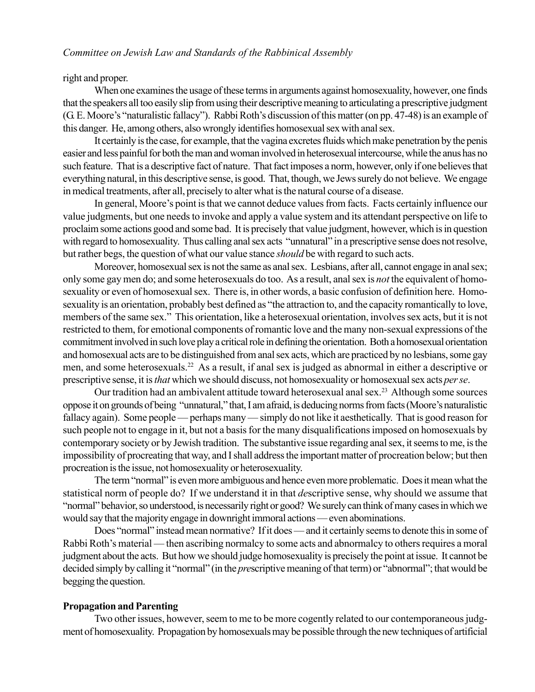right and proper.

When one examines the usage of these terms in arguments against homosexuality, however, one finds that the speakers all too easily slip from using their descriptive meaning to articulating a prescriptive judgment (G. E. Moore's "naturalistic fallacy"). Rabbi Roth's discussion of this matter (on pp. 47-48) is an example of this danger. He, among others, also wrongly identifies homosexual sex with anal sex.

It certainly is the case, for example, that the vagina excretes fluids which make penetration by the penis easier and less painful for both the man and woman involved in heterosexual intercourse, while the anus has no such feature. That is a descriptive fact of nature. That fact imposes a norm, however, only if one believes that everything natural, in this descriptive sense, is good. That, though, we Jews surely do not believe. We engage in medical treatments, after all, precisely to alter what is the natural course of a disease.

In general, Moore's point is that we cannot deduce values from facts. Facts certainly influence our value judgments, but one needs to invoke and apply a value system and its attendant perspective on life to proclaim some actions good and some bad. It is precisely that value judgment, however, which is in question with regard to homosexuality. Thus calling anal sex acts "unnatural" in a prescriptive sense does not resolve, but rather begs, the question of what our value stance *should* be with regard to such acts.

Moreover, homosexual sex is not the same as anal sex. Lesbians, after all, cannot engage in anal sex; only some gay men do; and some heterosexuals do too. As a result, anal sex is *not* the equivalent of homosexuality or even of homosexual sex. There is, in other words, a basic confusion of definition here. Homosexuality is an orientation, probably best defined as "the attraction to, and the capacity romantically to love, members of the same sex." This orientation, like a heterosexual orientation, involves sex acts, but it is not restricted to them, for emotional components of romantic love and the many non-sexual expressions of the commitment involved in such love play a critical role in defining the orientation. Both a homosexual orientation and homosexual acts are to be distinguished from anal sex acts, which are practiced by no lesbians, some gay men, and some heterosexuals.22 As a result, if anal sex is judged as abnormal in either a descriptive or prescriptive sense, it is *that* which we should discuss, not homosexuality or homosexual sex acts *per se*.

Our tradition had an ambivalent attitude toward heterosexual anal sex.<sup>23</sup> Although some sources oppose it on grounds of being "unnatural," that, I am afraid, is deducing norms from facts (Moore's naturalistic fallacy again). Some people — perhaps many — simply do not like it aesthetically. That is good reason for such people not to engage in it, but not a basis for the many disqualifications imposed on homosexuals by contemporary society or by Jewish tradition. The substantive issue regarding anal sex, it seems to me, is the impossibility of procreating that way, and I shall address the important matter of procreation below; but then procreation is the issue, not homosexuality or heterosexuality.

The term "normal" is even more ambiguous and hence even more problematic. Does it mean what the statistical norm of people do? If we understand it in that *de*scriptive sense, why should we assume that ìnormalî behavior, so understood, is necessarily right or good? We surely can think of many cases in which we would say that the majority engage in downright immoral actions — even abominations.

Does "normal" instead mean normative? If it does — and it certainly seems to denote this in some of Rabbi Roth's material — then ascribing normalcy to some acts and abnormalcy to others requires a moral judgment about the acts. But how we should judge homosexuality is precisely the point at issue. It cannot be decided simply by calling it "normal" (in the *pres*criptive meaning of that term) or "abnormal"; that would be begging the question.

# **Propagation and Parenting**

Two other issues, however, seem to me to be more cogently related to our contemporaneous judgment of homosexuality. Propagation by homosexuals may be possible through the new techniques of artificial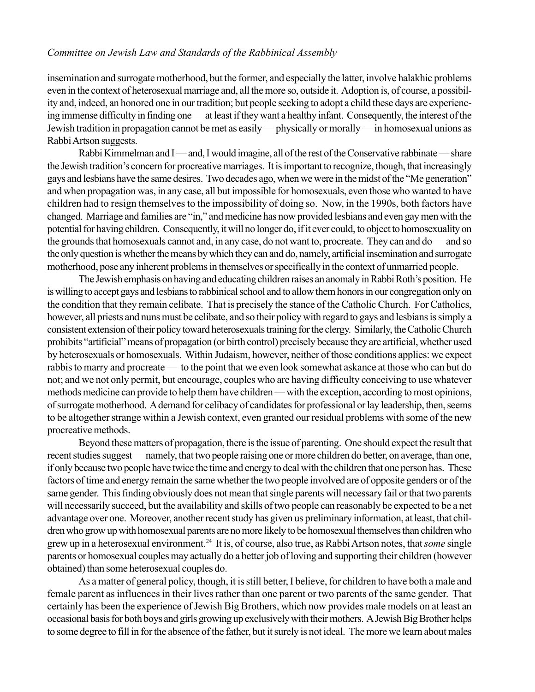insemination and surrogate motherhood, but the former, and especially the latter, involve halakhic problems even in the context of heterosexual marriage and, all the more so, outside it. Adoption is, of course, a possibility and, indeed, an honored one in our tradition; but people seeking to adopt a child these days are experiencing immense difficulty in finding one — at least if they want a healthy infant. Consequently, the interest of the Jewish tradition in propagation cannot be met as easily — physically or morally — in homosexual unions as Rabbi Artson suggests.

Rabbi Kimmelman and I — and, I would imagine, all of the rest of the Conservative rabbinate — share the Jewish tradition's concern for procreative marriages. It is important to recognize, though, that increasingly gays and lesbians have the same desires. Two decades ago, when we were in the midst of the "Me generation" and when propagation was, in any case, all but impossible for homosexuals, even those who wanted to have children had to resign themselves to the impossibility of doing so. Now, in the 1990s, both factors have changed. Marriage and families are "in," and medicine has now provided lesbians and even gay men with the potential for having children. Consequently, it will no longer do, if it ever could, to object to homosexuality on the grounds that homosexuals cannot and, in any case, do not want to, procreate. They can and do  $-$  and so the only question is whether the means by which they can and do, namely, artificial insemination and surrogate motherhood, pose any inherent problems in themselves or specifically in the context of unmarried people.

The Jewish emphasis on having and educating children raises an anomaly in Rabbi Roth's position. He is willing to accept gays and lesbians to rabbinical school and to allow them honors in our congregation only on the condition that they remain celibate. That is precisely the stance of the Catholic Church. For Catholics, however, all priests and nuns must be celibate, and so their policy with regard to gays and lesbians is simply a consistent extension of their policy toward heterosexuals training for the clergy. Similarly, the Catholic Church prohibits "artificial" means of propagation (or birth control) precisely because they are artificial, whether used by heterosexuals or homosexuals. Within Judaism, however, neither of those conditions applies: we expect rabbis to marry and procreate — to the point that we even look somewhat askance at those who can but do not; and we not only permit, but encourage, couples who are having difficulty conceiving to use whatever methods medicine can provide to help them have children — with the exception, according to most opinions, of surrogate motherhood. A demand for celibacy of candidates for professional or lay leadership, then, seems to be altogether strange within a Jewish context, even granted our residual problems with some of the new procreative methods.

Beyond these matters of propagation, there is the issue of parenting. One should expect the result that recent studies suggest — namely, that two people raising one or more children do better, on average, than one, if only because two people have twice the time and energy to deal with the children that one person has. These factors of time and energy remain the same whether the two people involved are of opposite genders or of the same gender. This finding obviously does not mean that single parents will necessary fail or that two parents will necessarily succeed, but the availability and skills of two people can reasonably be expected to be a net advantage over one. Moreover, another recent study has given us preliminary information, at least, that children who grow up with homosexual parents are no more likely to be homosexual themselves than children who grew up in a heterosexual environment.24 It is, of course, also true, as Rabbi Artson notes, that *some* single parents or homosexual couples may actually do a better job of loving and supporting their children (however obtained) than some heterosexual couples do.

As a matter of general policy, though, it is still better, I believe, for children to have both a male and female parent as influences in their lives rather than one parent or two parents of the same gender. That certainly has been the experience of Jewish Big Brothers, which now provides male models on at least an occasional basis for both boys and girls growing up exclusively with their mothers. A Jewish Big Brother helps to some degree to fill in for the absence of the father, but it surely is not ideal. The more we learn about males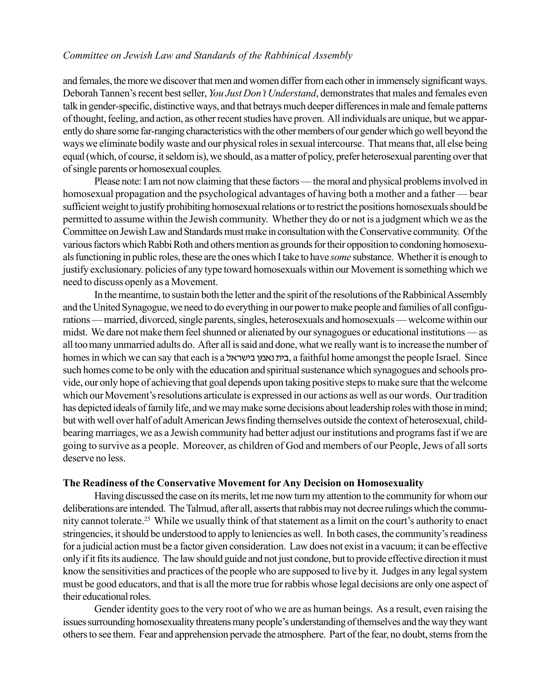and females, the more we discover that men and women differ from each other in immensely significant ways. Deborah Tannen's recent best seller, *You Just Don't Understand*, demonstrates that males and females even talk in gender-specific, distinctive ways, and that betrays much deeper differences in male and female patterns of thought, feeling, and action, as other recent studies have proven. All individuals are unique, but we apparently do share some far-ranging characteristics with the other members of our gender which go well beyond the ways we eliminate bodily waste and our physical roles in sexual intercourse. That means that, all else being equal (which, of course, it seldom is), we should, as a matter of policy, prefer heterosexual parenting over that of single parents or homosexual couples.

Please note: I am not now claiming that these factors — the moral and physical problems involved in homosexual propagation and the psychological advantages of having both a mother and a father – bear sufficient weight to justify prohibiting homosexual relations or to restrict the positions homosexuals should be permitted to assume within the Jewish community. Whether they do or not is a judgment which we as the Committee on Jewish Law and Standards must make in consultation with the Conservative community. Of the various factors which Rabbi Roth and others mention as grounds for their opposition to condoning homosexuals functioning in public roles, these are the ones which I take to have *some* substance. Whether it is enough to justify exclusionary. policies of any type toward homosexuals within our Movement is something which we need to discuss openly as a Movement.

In the meantime, to sustain both the letter and the spirit of the resolutions of the Rabbinical Assembly and the United Synagogue, we need to do everything in our powerto make people and families of all configurations – married, divorced, single parents, singles, heterosexuals and homosexuals – welcome within our midst. We dare not make them feel shunned or alienated by our synagogues or educational institutions — as all toomany unmarried adults do. After all is said and done, what we really want is to increase the number of homes in which we can say that each is a בית נאמן בישראל, a faithful home amongst the people Israel. Since such homes come to be only with the education and spiritual sustenance which synagogues and schools provide, our only hope of achieving that goal depends upon taking positive steps to make sure that the welcome which our Movement's resolutions articulate is expressed in our actions as well as our words. Our tradition has depicted ideals of family life, and we may make some decisions about leadership roles with those in mind; but with well over half of adult American Jewsfinding themselves outside the context of heterosexual, childbearing marriages, we as a Jewish community had better adjust our institutions and programs fast if we are going to survive as a people. Moreover, as children of God and members of our People, Jews of all sorts deserve no less.

#### **The Readiness of the Conservative Movement for Any Decision on Homosexuality**

Having discussed the case on its merits, let me now turn my attention to the community for whom our deliberations are intended. The Talmud, after all, asserts that rabbis may not decree rulings which the community cannot tolerate.<sup>25</sup> While we usually think of that statement as a limit on the court's authority to enact stringencies, it should be understood to apply to leniencies as well. In both cases, the community's readiness for a judicial action must be a factor given consideration. Law does not exist in a vacuum; it can be effective only if it fits its audience. The law should guide and not just condone, but to provide effective direction it must know the sensitivities and practices of the people who are supposed to live by it. Judges in any legal system must be good educators, and that is all the more true for rabbis whose legal decisions are only one aspect of their educational roles.

Gender identity goes to the very root of who we are as human beings. As a result, even raising the issues surrounding homosexuality threatens many people's understanding of themselves and the way they want others to see them. Fear and apprehension pervade the atmosphere. Part of the fear, no doubt, stems from the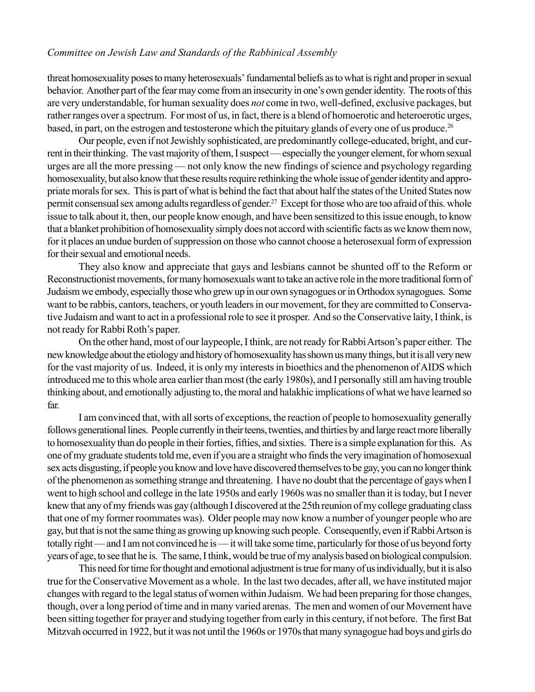threat homosexuality poses to many heterosexuals' fundamental beliefs as to what is right and proper in sexual behavior. Another part of the fear may come from an insecurity in one's own gender identity. The roots of this are very understandable, for human sexuality does *not* come in two, well-defined, exclusive packages, but rather ranges over a spectrum. For most of us, in fact, there is a blend of homoerotic and heteroerotic urges, based, in part, on the estrogen and testosterone which the pituitary glands of every one of us produce.<sup>26</sup>

Our people, even if not Jewishly sophisticated, are predominantly college-educated, bright, and current in their thinking. The vast majority of them, I suspect — especially the younger element, for whom sexual urges are all the more pressing — not only know the new findings of science and psychology regarding homosexuality, but also know that these results require rethinking the whole issue of gender identity and appropriate morals for sex. This is part of what is behind the fact that about half the states of the United States now permit consensual sex among adults regardless of gender.<sup>27</sup> Except for those who are too afraid of this. whole issue to talk about it, then, our people know enough, and have been sensitized to this issue enough, to know that a blanket prohibition of homosexuality simply does not accord with scientific facts as we know them now, for it places an undue burden of suppression on those who cannot choose a heterosexual form of expression for their sexual and emotional needs.

They also know and appreciate that gays and lesbians cannot be shunted off to the Reform or Reconstructionist movements, for many homosexuals want to take an active role in the more traditional form of Judaism we embody, especially those who grew up in our own synagogues or in Orthodox synagogues. Some want to be rabbis, cantors, teachers, or youth leaders in our movement, for they are committed to Conservative Judaism and want to act in a professional role to see it prosper. And so the Conservative laity, I think, is not ready for Rabbi Roth's paper.

On the other hand, most of our laypeople, I think, are not ready for Rabbi Artson's paper either. The new knowledge about the etiology and history of homosexuality has shown us many things, but it is all very new for the vast majority of us. Indeed, it is only my interests in bioethics and the phenomenon of AIDS which introduced me to this whole area earlier than most (the early 1980s), and I personally still am having trouble thinking about, and emotionally adjusting to, the moral and halakhic implications of what we have learned so far.

I am convinced that, with all sorts of exceptions, the reaction of people to homosexuality generally follows generational lines. People currently in their teens, twenties, and thirties by and large react more liberally to homosexuality than do people in their forties, fifties, and sixties. There is a simple explanation for this. As one of my graduate students told me, even if you are a straight who finds the very imagination of homosexual sex acts disgusting, if people you know and love have discovered themselves to be gay, you can no longer think of the phenomenon as something strange and threatening. I have no doubt that the percentage of gays when I went to high school and college in the late 1950s and early 1960s was no smaller than it is today, but I never knew that any of my friends was gay (although I discovered at the 25th reunion of my college graduating class that one of my former roommates was). Older people may now know a number of younger people who are gay, but that is not the same thing as growing up knowing such people. Consequently, even if Rabbi Artson is totally right — and I am not convinced he is — it will take some time, particularly for those of us beyond forty years of age, to see that he is. The same, I think, would be true of my analysis based on biological compulsion.

This need for time for thought and emotional adjustment is true for many of usindividually, but it is also true for the Conservative Movement as a whole. In the last two decades, after all, we have instituted major changes with regard to the legal status ofwomen within Judaism. We had been preparing for those changes, though, over a long period of time and in many varied arenas. The men and women of our Movement have been sitting together for prayer and studying together from early in this century, if not before. The first Bat Mitzvah occurred in 1922, but it was not until the 1960s or 1970s that many synagogue had boys and girls do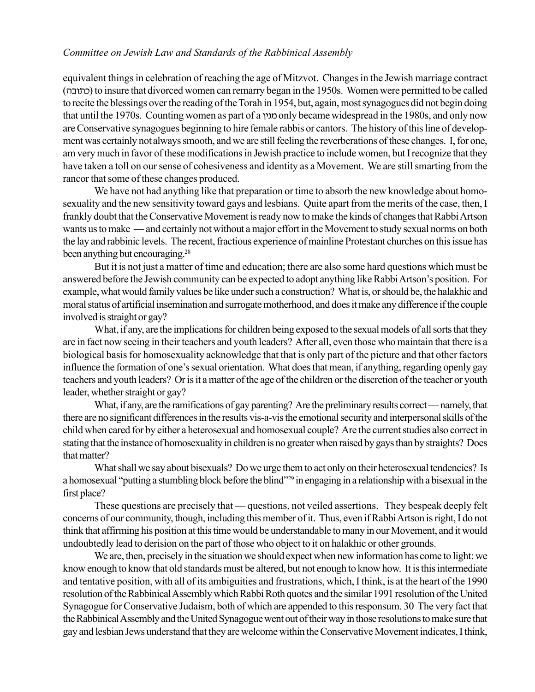equivalent things in celebration of reaching the age of Mitzvot. Changes in the Jewish marriage contract (כתובה) to insure that divorced women can remarry began in the 1950s. Women were permitted to be called to recite the blessings over the reading of the Torah in 1954, but, again, most synagogues did not begin doing that until the 1970s. Counting women as part of a complexed care widespread in the 1980s, and only now are Conservative synagogues beginning to hire female rabbis or cantors. The history of this line of development was certainly not always smooth, and we are still feeling the reverberations of these changes. I, for one, am very much in favor of these modifications in Jewish practice to include women, but Irecognize that they have taken a toll on our sense of cohesiveness and identity as a Movement. We are still smarting from the rancor that some of these changes produced.

We have not had anything like that preparation or time to absorb the new knowledge about homosexuality and the new sensitivity toward gays and lesbians. Quite apart from the merits of the case, then, I frankly doubt that the Conservative Movement is ready now to make the kinds of changes that Rabbi Artson wants us to make — and certainly not without a major effort in the Movement to study sexual norms on both the lay and rabbinic levels. The recent, fractious experience of mainline Protestant churches on this issue has been anything but encouraging.28

But it is not just a matter of time and education; there are also some hard questions which must be answered before the Jewish community can be expected to adopt anything like Rabbi Artson's position. For example, what would family values be like under such a construction? What is, or should be, the halakhic and moral status of artificial insemination and surrogate motherhood, and does it make any difference if the couple involved is straight or gay?

What, if any, are the implications for children being exposed to the sexual models of all sorts that they are in fact now seeing in their teachers and youth leaders? After all, even those who maintain that there is a biological basis for homosexuality acknowledge that that is only part of the picture and that other factors influence the formation of one's sexual orientation. What does that mean, if anything, regarding openly gay teachers and youth leaders? Or is it a matter of the age of the children or the discretion of the teacher or youth leader, whether straight or gay?

What, if any, are the ramifications of gay parenting? Are the preliminary results correct — namely, that there are no significant differences in the results vis-a-vis the emotional security and interpersonal skills of the child when cared for by either a heterosexual and homosexual couple? Are the current studies also correct in stating that the instance of homosexuality in children is no greater when raised by gays than by straights? Does that matter?

What shall we say about bisexuals? Do we urge them to act only on their heterosexual tendencies? Is a homosexual "putting a stumbling block before the blind"<sup>29</sup> in engaging in a relationship with a bisexual in the first place?

These questions are precisely that — questions, not veiled assertions. They bespeak deeply felt concerns of our community, though, including this member of it. Thus, even if Rabbi Artson is right, I do not think that affirming his position at this time would be understandable to many in our Movement, and it would undoubtedly lead to derision on the part of those who object to it on halakhic or other grounds.

We are, then, precisely in the situation we should expect when new information has come to light: we know enough to know that old standards must be altered, but not enough to know how. It is this intermediate and tentative position, with all of its ambiguities and frustrations, which, I think, is at the heart of the 1990 resolution of the Rabbinical Assembly which Rabbi Roth quotes and the similar 1991 resolution of the United Synagogue for Conservative Judaism, both of which are appended to this responsum. 30 The very fact that the Rabbinical Assembly and the United Synagogue went out of their way in those resolutions to make sure that gay and lesbian Jews understand that they are welcome within the Conservative Movement indicates, I think,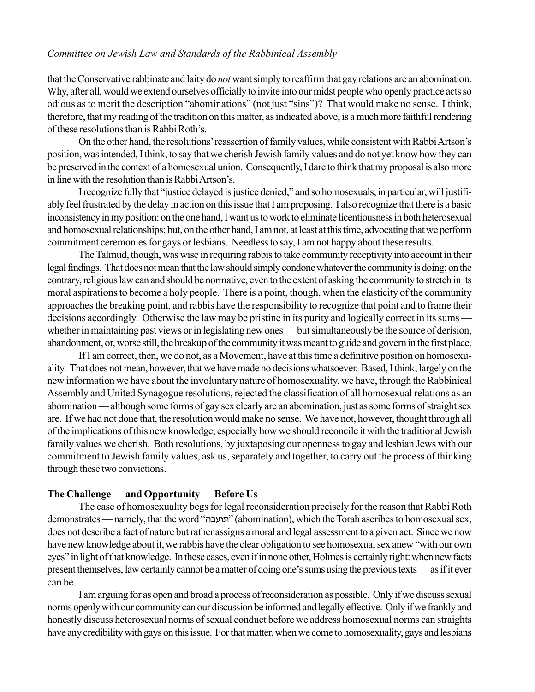that the Conservative rabbinate and laity do *not* want simply to reaffirm that gay relations are an abomination. Why, after all, would we extend ourselves officially to invite into our midst people who openly practice acts so odious as to merit the description "abominations" (not just "sins")? That would make no sense. I think, therefore, that my reading of the tradition on this matter, as indicated above, is a much more faithful rendering of these resolutions than is Rabbi Roth's.

On the other hand, the resolutions' reassertion of family values, while consistent with Rabbi Artson's position, was intended, I think, to say that we cherish Jewish family values and do not yet know how they can be preserved in the context of a homosexual union. Consequently, I dare to think that my proposal is also more in line with the resolution than is Rabbi Artson's.

I recognize fully that "justice delayed is justice denied," and so homosexuals, in particular, will justifiably feel frustrated by the delay in action on this issue that I am proposing. I also recognize that there is a basic inconsistency in my position: on the one hand, I want us to work to eliminate licentiousness in both heterosexual and homosexual relationships; but, on the other hand, I am not, at least at this time, advocating that we perform commitment ceremonies for gays or lesbians. Needless to say, I am not happy about these results.

The Talmud, though, was wise in requiring rabbis to take community receptivity into account in their legal findings. That does not mean that the law should simply condone whatever the community is doing; on the contrary, religious law can and should be normative, even to the extent of asking the community to stretch in its moral aspirations to become a holy people. There is a point, though, when the elasticity of the community approaches the breaking point, and rabbis have the responsibility to recognize that point and to frame their decisions accordingly. Otherwise the law may be pristine in its purity and logically correct in its sums whether in maintaining past views or in legislating new ones — but simultaneously be the source of derision, abandonment, or, worse still, the breakup of the community it was meant to guide and govern in the first place.

If I am correct, then, we do not, as a Movement, have at this time a definitive position on homosexuality. That does not mean, however, that we have made no decisions whatsoever. Based, I think, largely on the new information we have about the involuntary nature of homosexuality, we have, through the Rabbinical Assembly and United Synagogue resolutions, rejected the classification of all homosexual relations as an abomination — although some forms of gay sex clearly are an abomination, just as some forms of straight sex are. If we had not done that, the resolution would make no sense. We have not, however, thought through all of the implications of this new knowledge, especially how we should reconcile it with the traditional Jewish family values we cherish. Both resolutions, by juxtaposing our openness to gay and lesbian Jews with our commitment to Jewish family values, ask us, separately and together, to carry out the process of thinking through these two convictions.

#### The Challenge — and Opportunity — Before Us

The case of homosexuality begs for legal reconsideration precisely for the reason that Rabbi Roth demonstrates — namely, that the word "תועבה" (abomination), which the Torah ascribes to homosexual sex, does not describe a fact of nature but rather assigns amoral and legal assessment to a given act. Since we now have new knowledge about it, we rabbis have the clear obligation to see homosexual sex anew "with our own eyes" in light of that knowledge. In these cases, even if in none other, Holmes is certainly right: when new facts present themselves, law certainly cannot be a matter of doing one's sums using the previous texts — as if it ever can be.

I am arguing for as open and broad a process of reconsideration as possible. Only if we discuss sexual norms openly with our community can our discussion be informed and legally effective. Only if we frankly and honestly discuss heterosexual norms of sexual conduct before we address homosexual norms can straights have any credibility with gays on this issue. For that matter, when we come to homosexuality, gays and lesbians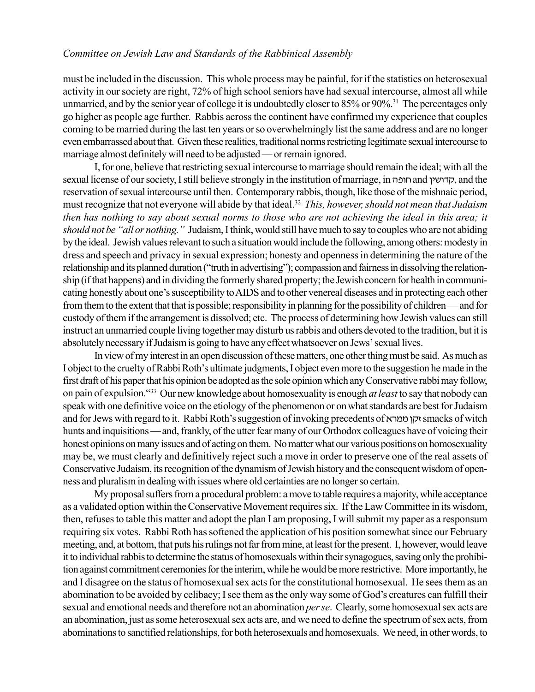must be included in the discussion. This whole process may be painful, for if the statistics on heterosexual activity in our society are right, 72% of high school seniors have had sexual intercourse, almost all while unmarried, and by the senior year of college it is undoubtedly closer to 85% or 90%.<sup>31</sup> The percentages only go higher as people age further. Rabbis across the continent have confirmed my experience that couples coming to be married during the last ten years or so overwhelmingly list the same address and are no longer even embarrassed about that. Given these realities, traditional norms restricting legitimate sexual intercourse to marriage almost definitely will need to be adjusted — or remain ignored.

I, for one, believe that restricting sexual intercourse to marriage should remain the ideal; with all the sexual license of our society, I still believe strongly in the institution of marriage, in הדושין and the reservation of sexual intercourse until then. Contemporary rabbis, though, like those of the mishnaic period, must recognize that not everyone will abide by that ideal.32 *This, however, should not mean that Judaism then has nothing to say about sexual norms to those who are not achieving the ideal in this area; it should not be "all or nothing.*" Judaism, I think, would still have much to say to couples who are not abiding by the ideal. Jewish values relevant to such a situationwould include the following, among others: modesty in dress and speech and privacy in sexual expression; honesty and openness in determining the nature of the relationship and its planned duration ("truth in advertising"); compassion and fairness in dissolving the relationship (if that happens) and in dividing the formerly shared property; the Jewish concern for health in communicating honestly about one's susceptibility to AIDS and to other venereal diseases and in protecting each other from them to the extent that that is possible; responsibility in planning for the possibility of children – and for custody ofthem if the arrangement is dissolved; etc. The process of determining how Jewish values can still instruct an unmarried couple living together may disturb us rabbis and others devoted to the tradition, but it is absolutely necessary if Judaism is going to have any effect whatsoever on Jews' sexual lives.

In view of my interest in an open discussion of these matters, one other thing mustbe said. As much as I object to the cruelty of Rabbi Roth's ultimate judgments, I object even more to the suggestion he made in the first draft of his paper that his opinion be adopted as the sole opinion which any Conservative rabbi may follow, on pain of expulsion.<sup>433</sup> Our new knowledge about homosexuality is enough *at least* to say that nobody can speak with one definitive voice on the etiology of the phenomenon or onwhat standards are best for Judaism and for Jews with regard to it. Rabbi Roth's suggestion of invoking precedents of זקן ממרא $s$ smacks of witch hunts and inquisitions — and, frankly, of the utter fear many of our Orthodox colleagues have of voicing their honest opinions on many issues and of acting on them. No matter what our various positions on homosexuality may be, we must clearly and definitively reject such a move in order to preserve one of the real assets of Conservative Judaism, its recognition of thedynamism of Jewish history and the consequent wisdom of openness and pluralism in dealing with issues where old certainties are no longer so certain.

My proposal suffers from a procedural problem: a move to table requires a majority, while acceptance as a validated option within the Conservative Movement requires six. If the Law Committee in its wisdom, then, refuses to table this matter and adopt the plan I am proposing, I will submit my paper as a responsum requiring six votes. Rabbi Roth has softened the application of his position somewhat since our February meeting, and, at bottom, that puts his rulings not far from mine, at least for the present. I, however, would leave it to individual rabbis to determine the status of homosexuals within their synagogues, saving only the prohibition against commitment ceremonies for the interim, while he would be more restrictive. More importantly, he and I disagree on the status of homosexual sex acts for the constitutional homosexual. He sees them as an abomination to be avoided by celibacy; I see them as the only way some of God's creatures can fulfill their sexual and emotional needs and therefore not an abomination *per se*. Clearly, some homosexual sex acts are an abomination, just as some heterosexual sex acts are, and we need to define the spectrum of sex acts, from abominations to sanctified relationships, for both heterosexuals and homosexuals. We need, in other words, to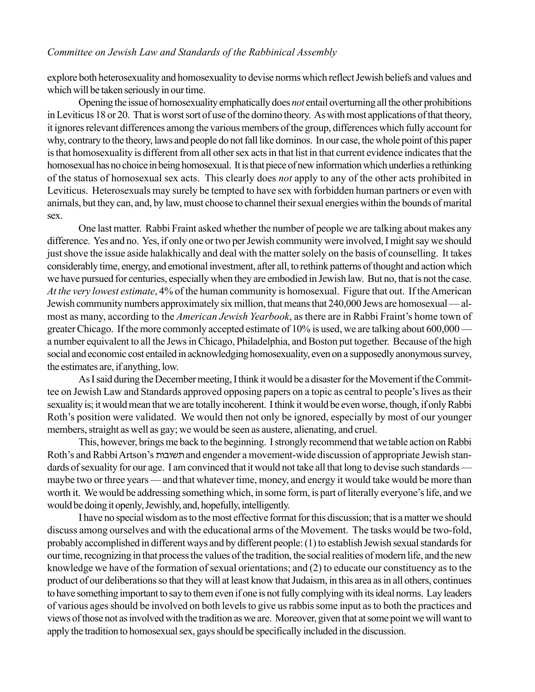explore both heterosexuality and homosexuality to devise norms which reflect Jewish beliefs and values and which will be taken seriously in our time.

Opening the issue of homosexuality emphatically does *not* entail overturning all the other prohibitions in Leviticus 18 or 20. That is worst sort of use of the domino theory. As with most applications of that theory, it ignores relevant differences among the various members of the group, differences which fully account for why, contrary to the theory, laws and people do not fall like dominos. In our case, the whole point of this paper is that homosexuality is different from all other sex acts in that list in that current evidence indicates that the homosexual has no choice in being homosexual. It is that piece of new information which underlies a rethinking of the status of homosexual sex acts. This clearly does *not* apply to any of the other acts prohibited in Leviticus. Heterosexuals may surely be tempted to have sex with forbidden human partners or even with animals, but they can, and, by law, must choose to channel their sexual energies within the bounds of marital sex.

One last matter. Rabbi Fraint asked whether the number of people we are talking about makes any difference. Yes and no. Yes, if only one or two per Jewish community were involved, I might say we should just shove the issue aside halakhically and deal with the matter solely on the basis of counselling. It takes considerably time, energy, and emotional investment, after all, to rethink patterns of thought and action which we have pursued for centuries, especially when they are embodied in Jewish law. But no, that is not the case. *At the very lowest estimate*, 4% of the human community is homosexual. Figure that out. If the American Jewish community numbers approximately six million, that means that 240,000 Jews are homosexual — almost as many, according to the *American Jewish Yearbook*, as there are in Rabbi Fraint's home town of greater Chicago. If the more commonly accepted estimate of  $10\%$  is used, we are talking about  $600,000$  a number equivalent to all the Jews in Chicago, Philadelphia, and Boston put together. Because of the high social and economic cost entailed in acknowledging homosexuality, even on a supposedly anonymous survey, the estimates are, if anything, low.

As I said during the December meeting, I think it would be a disaster for the Movement if the Committee on Jewish Law and Standards approved opposing papers on a topic as central to people's lives as their sexuality is; it would mean that we are totally incoherent. I think it would be even worse, though, if only Rabbi Roth's position were validated. We would then not only be ignored, especially by most of our younger members, straight as well as gay; we would be seen as austere, alienating, and cruel.

This, however, brings me back to the beginning. I strongly recommend that we table action on Rabbi Roth's and Rabbi Artson's תשובות and engender a movement-wide discussion of appropriate Jewish standards of sexuality for our age. I am convinced that it would not take all that long to devise such standards maybe two or three years — and that whatever time, money, and energy it would take would be more than worth it. We would be addressing something which, in some form, is part of literally everyone's life, and we would be doing it openly, Jewishly, and, hopefully, intelligently.

I have no special wisdom as to the most effective format for this discussion; that is a matter we should discuss among ourselves and with the educational arms of the Movement. The tasks would be two-fold, probably accomplished in different ways and by different people: (1) to establish Jewish sexual standards for our time, recognizing in that process the values of the tradition, the social realities of modern life, and the new knowledge we have of the formation of sexual orientations; and (2) to educate our constituency as to the product of our deliberations so that they will at least know that Judaism, in this area as in all others, continues to have something important to say to them even if one is not fully complying with its ideal norms. Lay leaders of various ages should be involved on both levels to give us rabbis some input as to both the practices and views of those not as involved with the tradition as we are. Moreover, given that at some point we will want to apply the tradition to homosexual sex, gays should be specifically included in the discussion.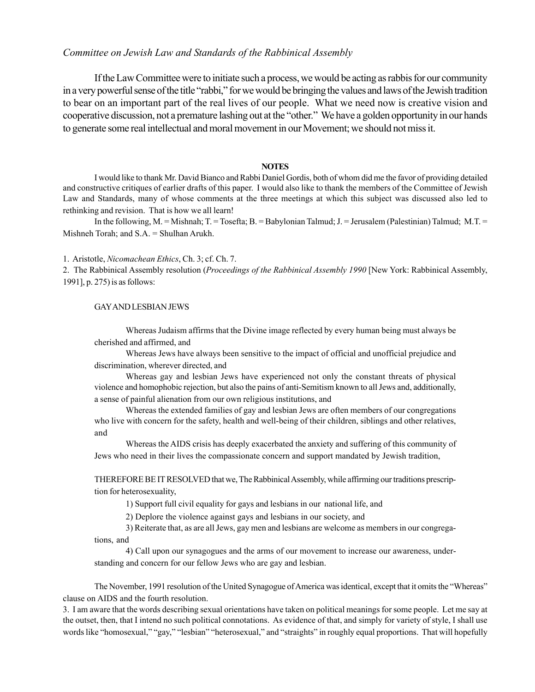If the Law Committee were to initiate such a process, we would be acting as rabbis for our community in a very powerful sense of the title "rabbi," for we would be bringing the values and laws of the Jewish tradition to bear on an important part of the real lives of our people. What we need now is creative vision and cooperative discussion, not a premature lashing out at the "other." We have a golden opportunity in our hands to generate some real intellectual and moral movement in our Movement; we should not miss it.

#### **NOTES**

I would like to thank Mr. David Bianco and Rabbi Daniel Gordis, both of whom did me the favor of providing detailed and constructive critiques of earlier drafts of this paper. I would also like to thank the members of the Committee of Jewish Law and Standards, many of whose comments at the three meetings at which this subject was discussed also led to rethinking and revision. That is how we all learn!

In the following, M. = Mishnah; T. = Tosefta; B. = Babylonian Talmud; J. = Jerusalem (Palestinian) Talmud; M.T. = Mishneh Torah; and S.A. = Shulhan Arukh.

#### 1. Aristotle, *Nicomachean Ethics*, Ch. 3; cf. Ch. 7.

2. The Rabbinical Assembly resolution (*Proceedings of the Rabbinical Assembly 1990* [New York: Rabbinical Assembly, 1991], p. 275) is as follows:

#### GAY AND LESBIAN JEWS

Whereas Judaism affirms that the Divine image reflected by every human being must always be cherished and affirmed, and

Whereas Jews have always been sensitive to the impact of official and unofficial prejudice and discrimination, wherever directed, and

Whereas gay and lesbian Jews have experienced not only the constant threats of physical violence and homophobic rejection, but also the pains of anti-Semitism known to all Jews and, additionally, a sense of painful alienation from our own religious institutions, and

Whereas the extended families of gay and lesbian Jews are often members of our congregations who live with concern for the safety, health and well-being of their children, siblings and other relatives, and

Whereas the AIDS crisis has deeply exacerbated the anxiety and suffering of this community of Jews who need in their lives the compassionate concern and support mandated by Jewish tradition,

THEREFORE BE IT RESOLVED that we, The Rabbinical Assembly, while affirming our traditions prescription for heterosexuality,

1) Support full civil equality for gays and lesbians in our national life, and

2) Deplore the violence against gays and lesbians in our society, and

3) Reiterate that, as are all Jews, gay men and lesbians are welcome as members in our congregations, and

4) Call upon our synagogues and the arms of our movement to increase our awareness, understanding and concern for our fellow Jews who are gay and lesbian.

The November, 1991 resolution of the United Synagogue of America was identical, except that it omits the "Whereas" clause on AIDS and the fourth resolution.

3. I am aware that the words describing sexual orientations have taken on political meanings for some people. Let me say at the outset, then, that I intend no such political connotations. As evidence of that, and simply for variety of style, I shall use words like "homosexual," "gay," "lesbian" "heterosexual," and "straights" in roughly equal proportions. That will hopefully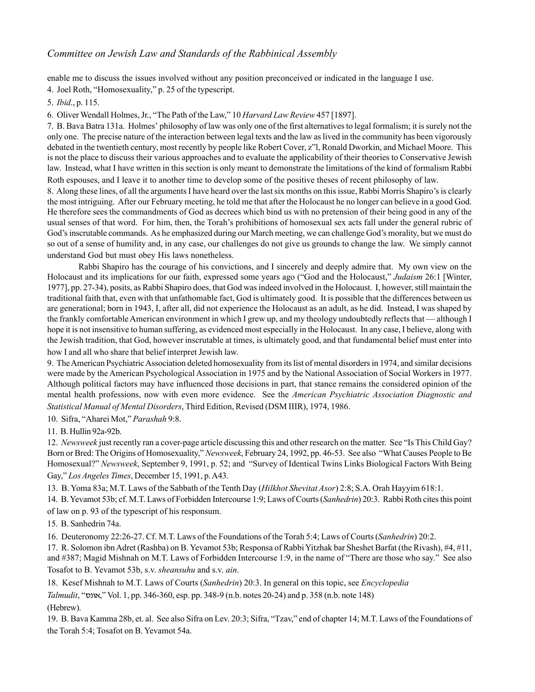enable me to discuss the issues involved without any position preconceived or indicated in the language I use.

4. Joel Roth, "Homosexuality," p. 25 of the typescript.

5. *Ibid*., p. 115.

6. Oliver Wendall Holmes, Jr., "The Path of the Law," 10 *Harvard Law Review* 457 [1897].

7. B. Bava Batra 131a. Holmesí philosophy of law was only one of the first alternatives to legal formalism; it is surely not the only one. The precise nature of the interaction between legal texts and the law as lived in the community has been vigorously debated in the twentieth century, most recently by people like Robert Cover, z''l, Ronald Dworkin, and Michael Moore. This is not the place to discuss their various approaches and to evaluate the applicability of their theories to Conservative Jewish law. Instead, what I have written in this section is only meant to demonstrate the limitations of the kind of formalism Rabbi Roth espouses, and I leave it to another time to develop some of the positive theses of recent philosophy of law.

8. Along these lines, of all the arguments I have heard over the last six months on this issue, Rabbi Morris Shapiro's is clearly the most intriguing. After our February meeting, he told me that after the Holocaust he no longer can believe in a good God. He therefore sees the commandments of God as decrees which bind us with no pretension of their being good in any of the usual senses of that word. For him, then, the Torah's prohibitions of homosexual sex acts fall under the general rubric of God's inscrutable commands. As he emphasized during our March meeting, we can challenge God's morality, but we must do so out of a sense of humility and, in any case, our challenges do not give us grounds to change the law. We simply cannot understand God but must obey His laws nonetheless.

Rabbi Shapiro has the courage of his convictions, and I sincerely and deeply admire that. My own view on the Holocaust and its implications for our faith, expressed some years ago ("God and the Holocaust," *Judaism* 26:1 [Winter, 1977], pp. 27-34), posits, as Rabbi Shapiro does, that God was indeed involved in the Holocaust. I, however, still maintain the traditional faith that, even with that unfathomable fact, God is ultimately good. It is possible that the differences between us are generational; born in 1943, I, after all, did not experience the Holocaust as an adult, as he did. Instead, I was shaped by the frankly comfortable American environment in which I grew up, and my theology undoubtedly reflects that — although I hope it is not insensitive to human suffering, as evidenced most especially in the Holocaust. In any case, I believe, along with the Jewish tradition, that God, however inscrutable at times, is ultimately good, and that fundamental belief must enter into how I and all who share that belief interpret Jewish law.

9. The American Psychiatric Association deleted homosexuality from its list of mental disorders in 1974, and similar decisions were made by the American Psychological Association in 1975 and by the National Association of Social Workers in 1977. Although political factors may have influenced those decisions in part, that stance remains the considered opinion of the mental health professions, now with even more evidence. See the *American Psychiatric Association Diagnostic and Statistical Manual of Mental Disorders*, Third Edition, Revised (DSM IIIR), 1974, 1986.

10. Sifra, "Aharei Mot," Parashah 9:8.

11. B. Hullin 92a-92b.

12. *Newsweek* just recently ran a cover-page article discussing this and other research on the matter. See "Is This Child Gav? Born or Bred: The Origins of Homosexuality," *Newsweek*, February 24, 1992, pp. 46-53. See also "What Causes People to Be Homosexual?" *Newsweek*, September 9, 1991, p. 52; and "Survey of Identical Twins Links Biological Factors With Being Gay," Los Angeles Times, December 15, 1991, p. A43.

13. B. Yoma 83a; M.T. Laws of the Sabbath of the Tenth Day (*Hilkhot Shevitat Asor*) 2:8; S.A. Orah Hayyim 618:1.

14. B. Yevamot 53b; cf. M.T. Laws of Forbidden Intercourse 1:9; Laws of Courts (*Sanhedrin*) 20:3. Rabbi Roth cites this point of law on p. 93 of the typescript of his responsum.

15. B. Sanhedrin 74a.

16. Deuteronomy 22:26-27. Cf. M.T. Laws of the Foundations of the Torah 5:4; Laws of Courts (*Sanhedrin*) 20:2.

17. R. Solomon ibn Adret (Rashba) on B. Yevamot 53b; Responsa of Rabbi Yitzhak bar Sheshet Barfat (the Rivash), #4, #11, and #387; Magid Mishnah on M.T. Laws of Forbidden Intercourse 1:9, in the name of "There are those who say." See also Tosafot to B. Yevamot 53b, s.v. *sheansuhu* and s.v. *ain*.

18. Kesef Mishnah to M.T. Laws of Courts (*Sanhedrin*) 20:3. In general on this topic, see *Encyclopedia*

*Talmudit*, "אונס", Vol. 1, pp. 346-360, esp. pp. 348-9 (n.b. notes 20-24) and p. 358 (n.b. note 148) (Hebrew).

19. B. Bava Kamma 28b, et. al. See also Sifra on Lev. 20:3; Sifra, "Tzav," end of chapter 14; M.T. Laws of the Foundations of the Torah 5:4; Tosafot on B. Yevamot 54a.